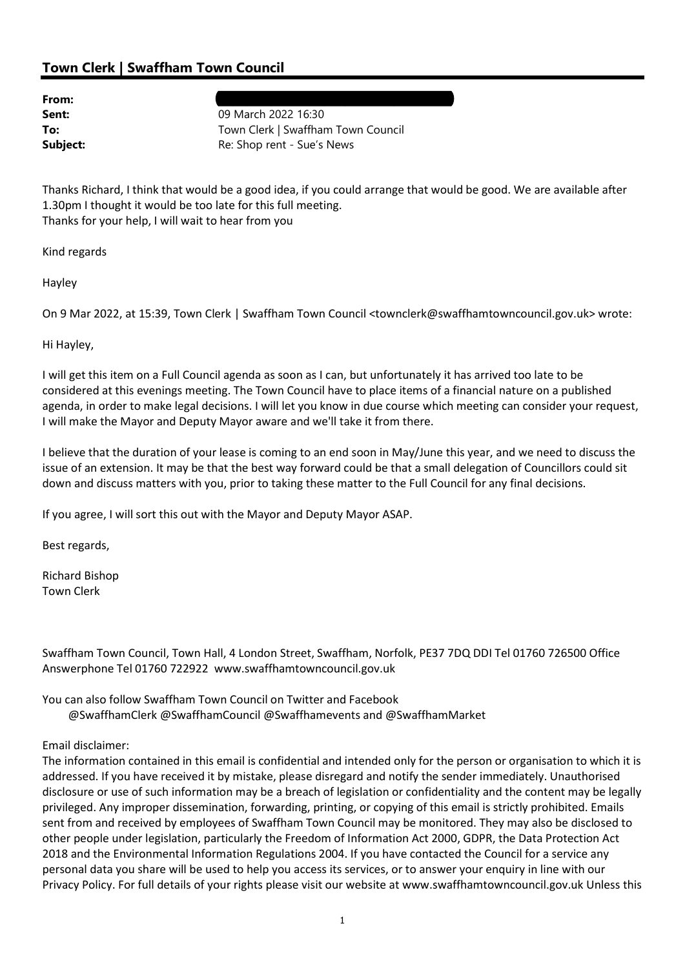## Town Clerk | Swaffham Town Council

| From:    |  |
|----------|--|
| Sent:    |  |
| To:      |  |
| Subject: |  |

From: Hayley Bright (hayleybright).666. [1] the state of the state of the state of the state of the state of the state of the state of the state of the state of the state of the state of the state of the state of the state 09 March 2022 16:30 Town Clerk | Swaffham Town Council Re: Shop rent - Sue's News

Thanks Richard, I think that would be a good idea, if you could arrange that would be good. We are available after 1.30pm I thought it would be too late for this full meeting. Thanks for your help, I will wait to hear from you

Kind regards

Hayley

On 9 Mar 2022, at 15:39, Town Clerk | Swaffham Town Council <townclerk@swaffhamtowncouncil.gov.uk> wrote:

Hi Hayley,

I will get this item on a Full Council agenda as soon as I can, but unfortunately it has arrived too late to be considered at this evenings meeting. The Town Council have to place items of a financial nature on a published agenda, in order to make legal decisions. I will let you know in due course which meeting can consider your request, I will make the Mayor and Deputy Mayor aware and we'll take it from there.

I believe that the duration of your lease is coming to an end soon in May/June this year, and we need to discuss the issue of an extension. It may be that the best way forward could be that a small delegation of Councillors could sit down and discuss matters with you, prior to taking these matter to the Full Council for any final decisions.

If you agree, I will sort this out with the Mayor and Deputy Mayor ASAP.

Best regards,

Richard Bishop Town Clerk

Swaffham Town Council, Town Hall, 4 London Street, Swaffham, Norfolk, PE37 7DQ DDI Tel 01760 726500 Office Answerphone Tel 01760 722922 www.swaffhamtowncouncil.gov.uk

You can also follow Swaffham Town Council on Twitter and Facebook @SwaffhamClerk @SwaffhamCouncil @Swaffhamevents and @SwaffhamMarket

## Email disclaimer:

The information contained in this email is confidential and intended only for the person or organisation to which it is addressed. If you have received it by mistake, please disregard and notify the sender immediately. Unauthorised disclosure or use of such information may be a breach of legislation or confidentiality and the content may be legally privileged. Any improper dissemination, forwarding, printing, or copying of this email is strictly prohibited. Emails sent from and received by employees of Swaffham Town Council may be monitored. They may also be disclosed to other people under legislation, particularly the Freedom of Information Act 2000, GDPR, the Data Protection Act 2018 and the Environmental Information Regulations 2004. If you have contacted the Council for a service any personal data you share will be used to help you access its services, or to answer your enquiry in line with our Privacy Policy. For full details of your rights please visit our website at www.swaffhamtowncouncil.gov.uk Unless this